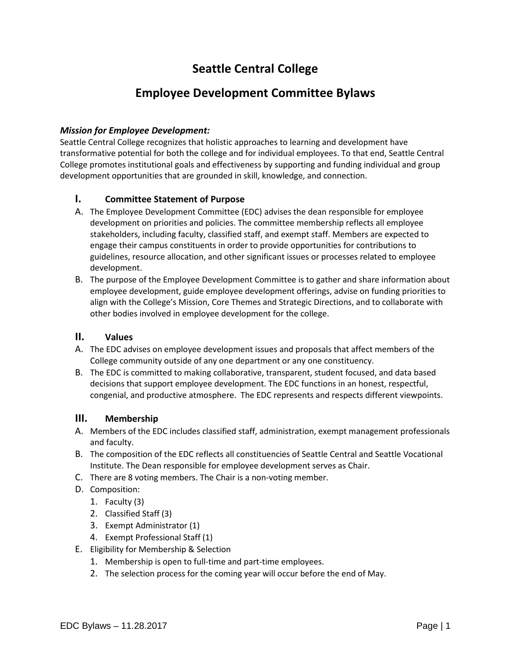# **Seattle Central College**

## **Employee Development Committee Bylaws**

## *Mission for Employee Development:*

Seattle Central College recognizes that holistic approaches to learning and development have transformative potential for both the college and for individual employees. To that end, Seattle Central College promotes institutional goals and effectiveness by supporting and funding individual and group development opportunities that are grounded in skill, knowledge, and connection.

## **I. Committee Statement of Purpose**

- A. The Employee Development Committee (EDC) advises the dean responsible for employee development on priorities and policies. The committee membership reflects all employee stakeholders, including faculty, classified staff, and exempt staff. Members are expected to engage their campus constituents in order to provide opportunities for contributions to guidelines, resource allocation, and other significant issues or processes related to employee development.
- B. The purpose of the Employee Development Committee is to gather and share information about employee development, guide employee development offerings, advise on funding priorities to align with the College's Mission, Core Themes and Strategic Directions, and to collaborate with other bodies involved in employee development for the college.

## **II. Values**

- A. The EDC advises on employee development issues and proposals that affect members of the College community outside of any one department or any one constituency.
- B. The EDC is committed to making collaborative, transparent, student focused, and data based decisions that support employee development. The EDC functions in an honest, respectful, congenial, and productive atmosphere. The EDC represents and respects different viewpoints.

## **III. Membership**

- A. Members of the EDC includes classified staff, administration, exempt management professionals and faculty.
- B. The composition of the EDC reflects all constituencies of Seattle Central and Seattle Vocational Institute. The Dean responsible for employee development serves as Chair.
- C. There are 8 voting members. The Chair is a non-voting member.
- D. Composition:
	- 1. Faculty (3)
	- 2. Classified Staff (3)
	- 3. Exempt Administrator (1)
	- 4. Exempt Professional Staff (1)
- E. Eligibility for Membership & Selection
	- 1. Membership is open to full-time and part-time employees.
	- 2. The selection process for the coming year will occur before the end of May.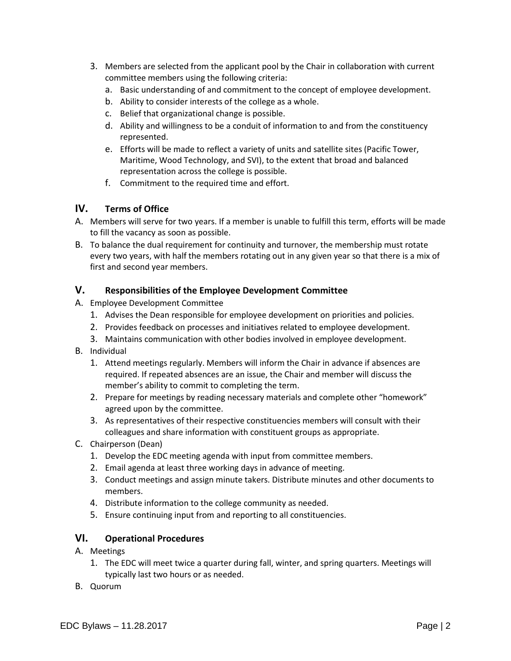- 3. Members are selected from the applicant pool by the Chair in collaboration with current committee members using the following criteria:
	- a. Basic understanding of and commitment to the concept of employee development.
	- b. Ability to consider interests of the college as a whole.
	- c. Belief that organizational change is possible.
	- d. Ability and willingness to be a conduit of information to and from the constituency represented.
	- e. Efforts will be made to reflect a variety of units and satellite sites (Pacific Tower, Maritime, Wood Technology, and SVI), to the extent that broad and balanced representation across the college is possible.
	- f. Commitment to the required time and effort.

## **IV. Terms of Office**

- A. Members will serve for two years. If a member is unable to fulfill this term, efforts will be made to fill the vacancy as soon as possible.
- B. To balance the dual requirement for continuity and turnover, the membership must rotate every two years, with half the members rotating out in any given year so that there is a mix of first and second year members.

## **V. Responsibilities of the Employee Development Committee**

- A. Employee Development Committee
	- 1. Advises the Dean responsible for employee development on priorities and policies.
	- 2. Provides feedback on processes and initiatives related to employee development.
	- 3. Maintains communication with other bodies involved in employee development.
- B. Individual
	- 1. Attend meetings regularly. Members will inform the Chair in advance if absences are required. If repeated absences are an issue, the Chair and member will discuss the member's ability to commit to completing the term.
	- 2. Prepare for meetings by reading necessary materials and complete other "homework" agreed upon by the committee.
	- 3. As representatives of their respective constituencies members will consult with their colleagues and share information with constituent groups as appropriate.
- C. Chairperson (Dean)
	- 1. Develop the EDC meeting agenda with input from committee members.
	- 2. Email agenda at least three working days in advance of meeting.
	- 3. Conduct meetings and assign minute takers. Distribute minutes and other documents to members.
	- 4. Distribute information to the college community as needed.
	- 5. Ensure continuing input from and reporting to all constituencies.

## **VI. Operational Procedures**

- A. Meetings
	- 1. The EDC will meet twice a quarter during fall, winter, and spring quarters. Meetings will typically last two hours or as needed.
- B. Quorum